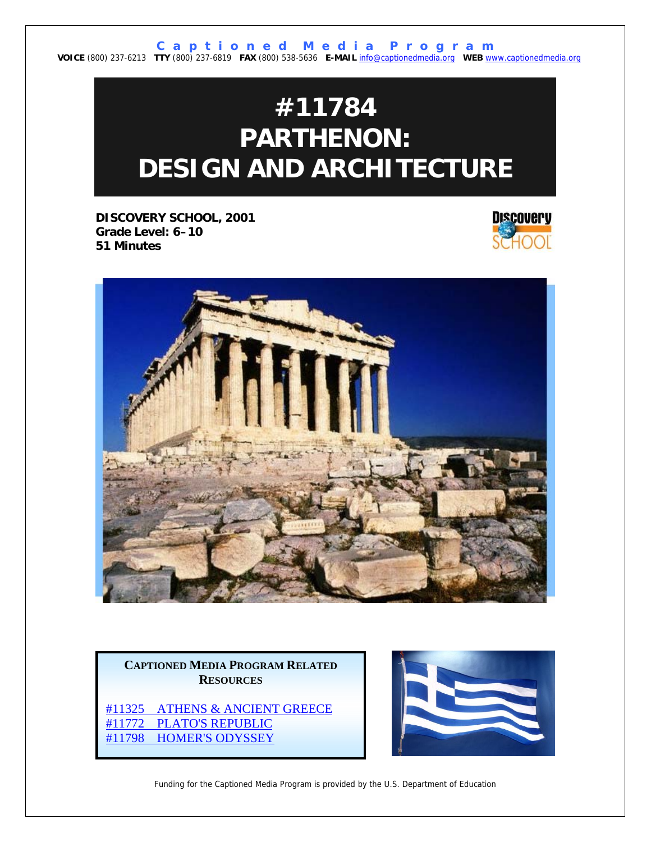# **#11784 PARTHENON: DESIGN AND ARCHITECTURE**

**DISCOVERY SCHOOL, 2001 Grade Level: 6–10 51 Minutes** 





**CAPTIONED MEDIA PROGRAM RELATED RESOURCES**

[#11325 ATHENS & ANCIENT GREECE](http://www.captionedmedia.org/titledetail.asp?dn=11325) [#11772 PLATO'S REPUBLIC](http://www.captionedmedia.org/titledetail.asp?dn=11772) [#11798 HOMER'S ODYSSEY](http://www.captionedmedia.org/titledetail.asp?dn=11798)



Funding for the Captioned Media Program is provided by the U.S. Department of Education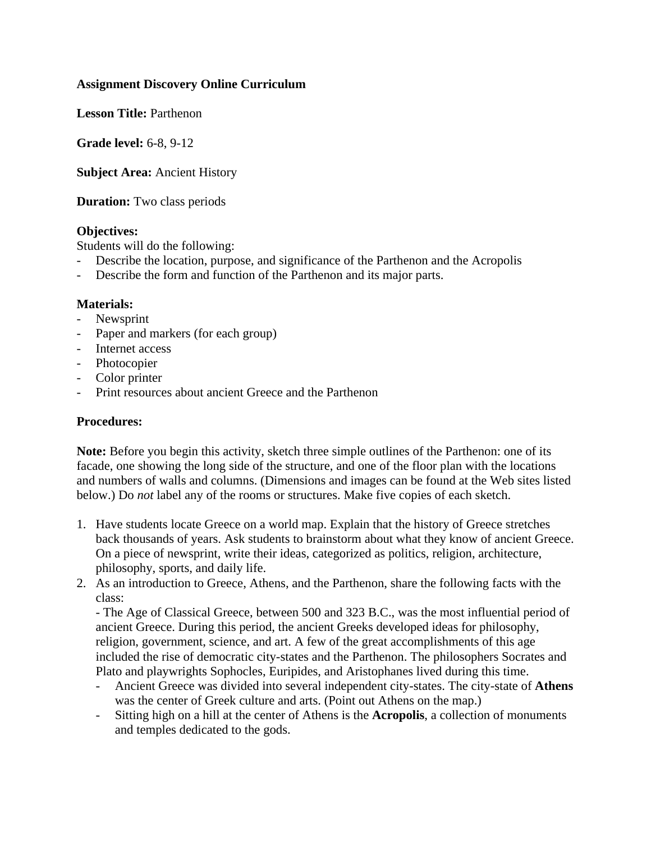# **Assignment Discovery Online Curriculum**

**Lesson Title:** Parthenon

**Grade level:** 6-8, 9-12

**Subject Area:** Ancient History

**Duration:** Two class periods

# **Objectives:**

Students will do the following:

- Describe the location, purpose, and significance of the Parthenon and the Acropolis
- Describe the form and function of the Parthenon and its major parts.

# **Materials:**

- Newsprint
- Paper and markers (for each group)
- Internet access
- Photocopier
- Color printer
- Print resources about ancient Greece and the Parthenon

# **Procedures:**

**Note:** Before you begin this activity, sketch three simple outlines of the Parthenon: one of its facade, one showing the long side of the structure, and one of the floor plan with the locations and numbers of walls and columns. (Dimensions and images can be found at the Web sites listed below.) Do *not* label any of the rooms or structures. Make five copies of each sketch.

- 1. Have students locate Greece on a world map. Explain that the history of Greece stretches back thousands of years. Ask students to brainstorm about what they know of ancient Greece. On a piece of newsprint, write their ideas, categorized as politics, religion, architecture, philosophy, sports, and daily life.
- 2. As an introduction to Greece, Athens, and the Parthenon, share the following facts with the class:

- The Age of Classical Greece, between 500 and 323 B.C., was the most influential period of ancient Greece. During this period, the ancient Greeks developed ideas for philosophy, religion, government, science, and art. A few of the great accomplishments of this age included the rise of democratic city-states and the Parthenon. The philosophers Socrates and Plato and playwrights Sophocles, Euripides, and Aristophanes lived during this time.

- Ancient Greece was divided into several independent city-states. The city-state of **Athens** was the center of Greek culture and arts. (Point out Athens on the map.)
- Sitting high on a hill at the center of Athens is the **Acropolis**, a collection of monuments and temples dedicated to the gods.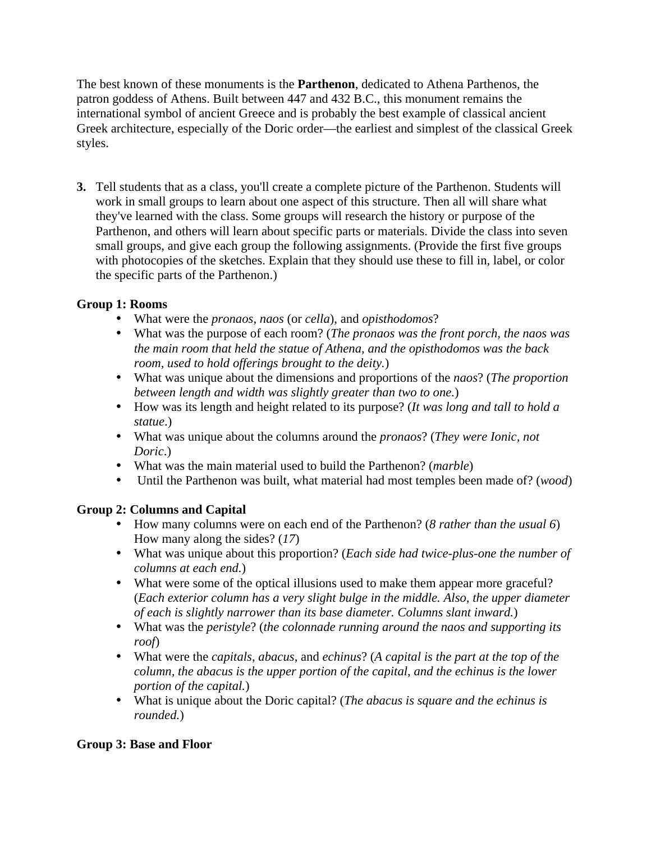The best known of these monuments is the **Parthenon**, dedicated to Athena Parthenos, the patron goddess of Athens. Built between 447 and 432 B.C., this monument remains the international symbol of ancient Greece and is probably the best example of classical ancient Greek architecture, especially of the Doric order—the earliest and simplest of the classical Greek styles.

**3.** Tell students that as a class, you'll create a complete picture of the Parthenon. Students will work in small groups to learn about one aspect of this structure. Then all will share what they've learned with the class. Some groups will research the history or purpose of the Parthenon, and others will learn about specific parts or materials. Divide the class into seven small groups, and give each group the following assignments. (Provide the first five groups with photocopies of the sketches. Explain that they should use these to fill in, label, or color the specific parts of the Parthenon.)

# **Group 1: Rooms**

- What were the *pronaos*, *naos* (or *cella*), and *opisthodomos*?
- What was the purpose of each room? (*The pronaos was the front porch, the naos was the main room that held the statue of Athena, and the opisthodomos was the back room, used to hold offerings brought to the deity.*)
- What was unique about the dimensions and proportions of the *naos*? (*The proportion between length and width was slightly greater than two to one.*)
- How was its length and height related to its purpose? (*It was long and tall to hold a statue*.)
- What was unique about the columns around the *pronaos*? (*They were Ionic, not Doric*.)
- What was the main material used to build the Parthenon? (*marble*)
- Until the Parthenon was built, what material had most temples been made of? (*wood*)

# **Group 2: Columns and Capital**

- How many columns were on each end of the Parthenon? (*8 rather than the usual 6*) How many along the sides? (*17*)
- What was unique about this proportion? (*Each side had twice-plus-one the number of columns at each end.*)
- What were some of the optical illusions used to make them appear more graceful? (*Each exterior column has a very slight bulge in the middle. Also, the upper diameter of each is slightly narrower than its base diameter. Columns slant inward.*)
- What was the *peristyle*? (*the colonnade running around the naos and supporting its roof*)
- What were the *capitals*, *abacus*, and *echinus*? (*A capital is the part at the top of the column, the abacus is the upper portion of the capital, and the echinus is the lower portion of the capital.*)
- What is unique about the Doric capital? (*The abacus is square and the echinus is rounded.*)

# **Group 3: Base and Floor**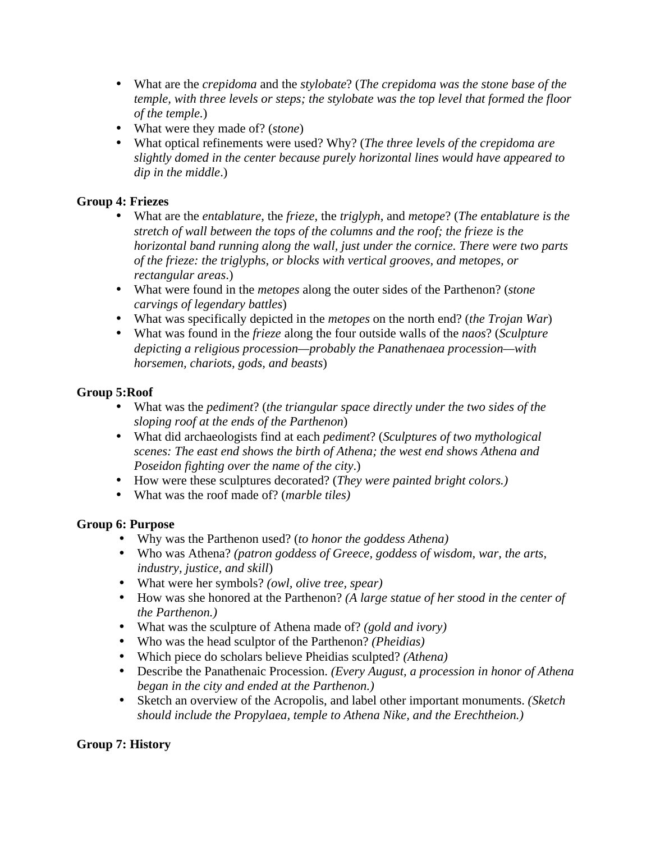- What are the *crepidoma* and the *stylobate*? (*The crepidoma was the stone base of the temple, with three levels or steps; the stylobate was the top level that formed the floor of the temple.*)
- What were they made of? (*stone*)
- What optical refinements were used? Why? (*The three levels of the crepidoma are slightly domed in the center because purely horizontal lines would have appeared to dip in the middle*.)

# **Group 4: Friezes**

- What are the *entablature*, the *frieze*, the *triglyph*, and *metope*? (*The entablature is the stretch of wall between the tops of the columns and the roof; the frieze is the horizontal band running along the wall, just under the cornice. There were two parts of the frieze: the triglyphs, or blocks with vertical grooves, and metopes, or rectangular areas*.)
- What were found in the *metopes* along the outer sides of the Parthenon? (*stone carvings of legendary battles*)
- What was specifically depicted in the *metopes* on the north end? (*the Trojan War*)
- What was found in the *frieze* along the four outside walls of the *naos*? (*Sculpture depicting a religious procession—probably the Panathenaea procession—with horsemen, chariots, gods, and beasts*)

# **Group 5:Roof**

- What was the *pediment*? (*the triangular space directly under the two sides of the sloping roof at the ends of the Parthenon*)
- What did archaeologists find at each *pediment*? (*Sculptures of two mythological scenes: The east end shows the birth of Athena; the west end shows Athena and Poseidon fighting over the name of the city*.)
- How were these sculptures decorated? (*They were painted bright colors.)*
- What was the roof made of? (*marble tiles)*

# **Group 6: Purpose**

- Why was the Parthenon used? (*to honor the goddess Athena)*
- Who was Athena? *(patron goddess of Greece, goddess of wisdom, war, the arts, industry, justice, and skill*)
- What were her symbols? *(owl, olive tree, spear)*
- How was she honored at the Parthenon? *(A large statue of her stood in the center of the Parthenon.)*
- What was the sculpture of Athena made of? *(gold and ivory)*
- Who was the head sculptor of the Parthenon? *(Pheidias)*
- Which piece do scholars believe Pheidias sculpted? *(Athena)*
- Describe the Panathenaic Procession. *(Every August, a procession in honor of Athena began in the city and ended at the Parthenon.)*
- Sketch an overview of the Acropolis, and label other important monuments. *(Sketch should include the Propylaea, temple to Athena Nike, and the Erechtheion.)*

# **Group 7: History**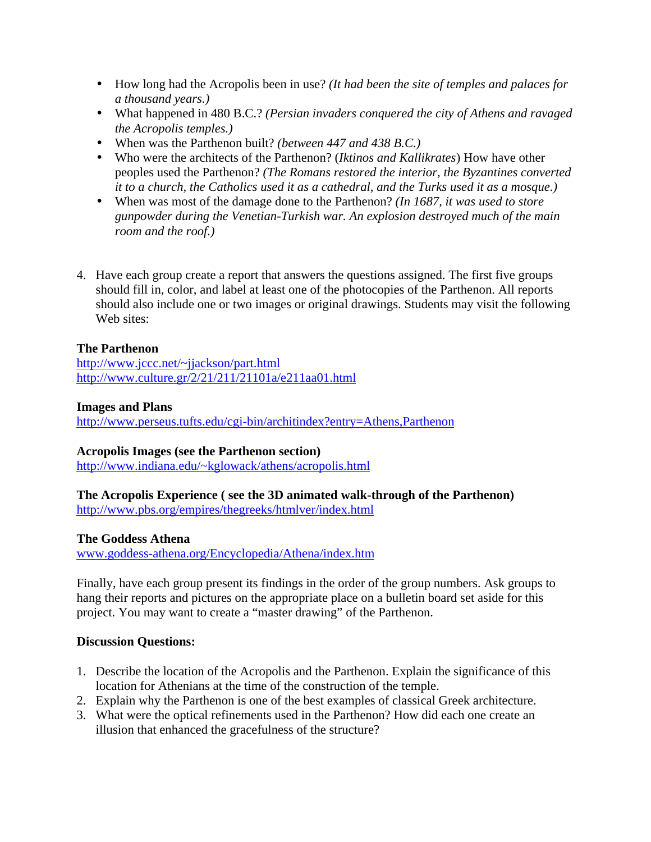- How long had the Acropolis been in use? *(It had been the site of temples and palaces for a thousand years.)*
- What happened in 480 B.C.? *(Persian invaders conquered the city of Athens and ravaged the Acropolis temples.)*
- When was the Parthenon built? *(between 447 and 438 B.C.)*
- Who were the architects of the Parthenon? (*Iktinos and Kallikrates*) How have other peoples used the Parthenon? *(The Romans restored the interior, the Byzantines converted it to a church, the Catholics used it as a cathedral, and the Turks used it as a mosque.)*
- When was most of the damage done to the Parthenon? *(In 1687, it was used to store gunpowder during the Venetian-Turkish war. An explosion destroyed much of the main room and the roof.)*
- 4. Have each group create a report that answers the questions assigned. The first five groups should fill in, color, and label at least one of the photocopies of the Parthenon. All reports should also include one or two images or original drawings. Students may visit the following Web sites:

# **The Parthenon**

http://www.jccc.net/~jjackson/part.html http://www.culture.gr/2/21/211/21101a/e211aa01.html

#### **Images and Plans**

http://www.perseus.tufts.edu/cgi-bin/architindex?entry=Athens,Parthenon

# **Acropolis Images (see the Parthenon section)**

http://www.indiana.edu/~kglowack/athens/acropolis.html

# **The Acropolis Experience ( see the 3D animated walk-through of the Parthenon)**

http://www.pbs.org/empires/thegreeks/htmlver/index.html

# **The Goddess Athena**

www.goddess-athena.org/Encyclopedia/Athena/index.htm

Finally, have each group present its findings in the order of the group numbers. Ask groups to hang their reports and pictures on the appropriate place on a bulletin board set aside for this project. You may want to create a "master drawing" of the Parthenon.

#### **Discussion Questions:**

- 1. Describe the location of the Acropolis and the Parthenon. Explain the significance of this location for Athenians at the time of the construction of the temple.
- 2. Explain why the Parthenon is one of the best examples of classical Greek architecture.
- 3. What were the optical refinements used in the Parthenon? How did each one create an illusion that enhanced the gracefulness of the structure?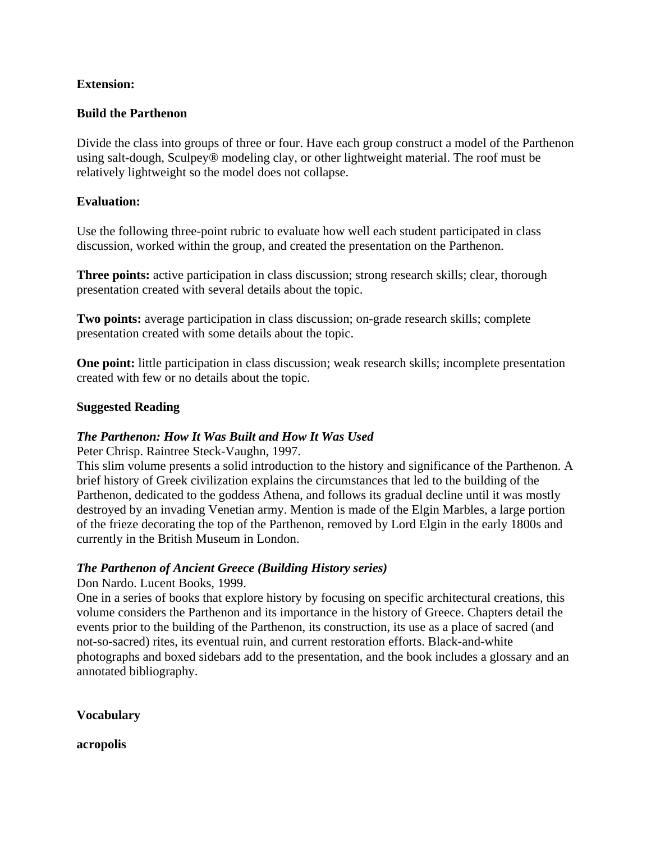# **Extension:**

# **Build the Parthenon**

Divide the class into groups of three or four. Have each group construct a model of the Parthenon using salt-dough, Sculpey® modeling clay, or other lightweight material. The roof must be relatively lightweight so the model does not collapse.

# **Evaluation:**

Use the following three-point rubric to evaluate how well each student participated in class discussion, worked within the group, and created the presentation on the Parthenon.

**Three points:** active participation in class discussion; strong research skills; clear, thorough presentation created with several details about the topic.

**Two points:** average participation in class discussion; on-grade research skills; complete presentation created with some details about the topic.

**One point:** little participation in class discussion; weak research skills; incomplete presentation created with few or no details about the topic.

# **Suggested Reading**

# *The Parthenon: How It Was Built and How It Was Used*

Peter Chrisp. Raintree Steck-Vaughn, 1997.

This slim volume presents a solid introduction to the history and significance of the Parthenon. A brief history of Greek civilization explains the circumstances that led to the building of the Parthenon, dedicated to the goddess Athena, and follows its gradual decline until it was mostly destroyed by an invading Venetian army. Mention is made of the Elgin Marbles, a large portion of the frieze decorating the top of the Parthenon, removed by Lord Elgin in the early 1800s and currently in the British Museum in London.

# *The Parthenon of Ancient Greece (Building History series)*

Don Nardo. Lucent Books, 1999.

One in a series of books that explore history by focusing on specific architectural creations, this volume considers the Parthenon and its importance in the history of Greece. Chapters detail the events prior to the building of the Parthenon, its construction, its use as a place of sacred (and not-so-sacred) rites, its eventual ruin, and current restoration efforts. Black-and-white photographs and boxed sidebars add to the presentation, and the book includes a glossary and an annotated bibliography.

**Vocabulary**

**acropolis**